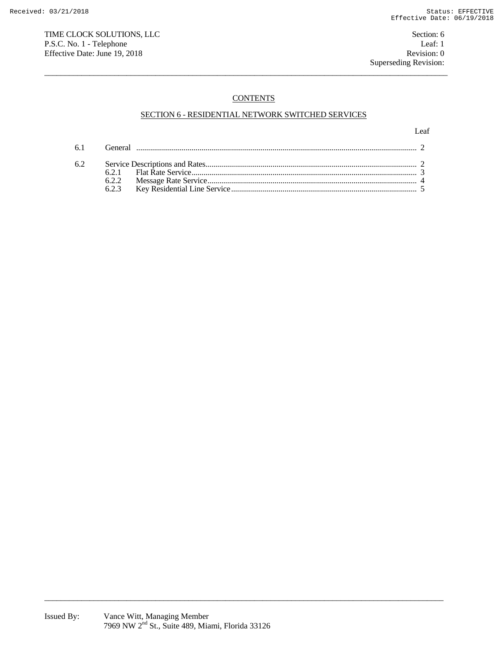TIME CLOCK SOLUTIONS, LLC Section: 6 P.S.C. No. 1 - Telephone Leaf: 1<br>
Effective Date: June 19, 2018 Revision: 0 Effective Date: June 19, 2018

# **CONTENTS**

 $\overline{a}$  , and the state of the state of the state of the state of the state of the state of the state of the state of the state of the state of the state of the state of the state of the state of the state of the state o

## SECTION 6 - RESIDENTIAL NETWORK SWITCHED SERVICES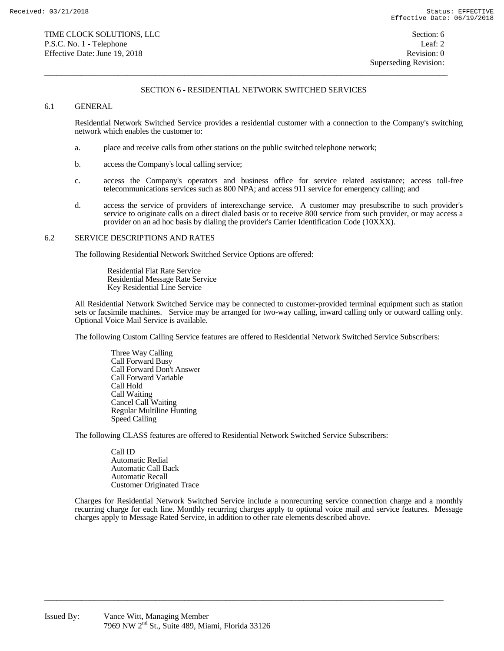$\overline{a}$  , and the state of the state of the state of the state of the state of the state of the state of the state of the state of the state of the state of the state of the state of the state of the state of the state o

## 6.1 GENERAL

 Residential Network Switched Service provides a residential customer with a connection to the Company's switching network which enables the customer to:

- a. place and receive calls from other stations on the public switched telephone network;
- b. access the Company's local calling service;
- c. access the Company's operators and business office for service related assistance; access toll-free telecommunications services such as 800 NPA; and access 911 service for emergency calling; and
- d. access the service of providers of interexchange service. A customer may presubscribe to such provider's service to originate calls on a direct dialed basis or to receive 800 service from such provider, or may access a provider on an ad hoc basis by dialing the provider's Carrier Identification Code (10XXX).

#### 6.2 SERVICE DESCRIPTIONS AND RATES

The following Residential Network Switched Service Options are offered:

 Residential Flat Rate Service Residential Message Rate Service Key Residential Line Service

 All Residential Network Switched Service may be connected to customer-provided terminal equipment such as station sets or facsimile machines. Service may be arranged for two-way calling, inward calling only or outward calling only. Optional Voice Mail Service is available.

The following Custom Calling Service features are offered to Residential Network Switched Service Subscribers:

 Three Way Calling Call Forward Busy Call Forward Don't Answer Call Forward Variable Call Hold Call Waiting Cancel Call Waiting Regular Multiline Hunting Speed Calling

The following CLASS features are offered to Residential Network Switched Service Subscribers:

 Call ID Automatic Redial Automatic Call Back Automatic Recall Customer Originated Trace

 Charges for Residential Network Switched Service include a nonrecurring service connection charge and a monthly recurring charge for each line. Monthly recurring charges apply to optional voice mail and service features. Message charges apply to Message Rated Service, in addition to other rate elements described above.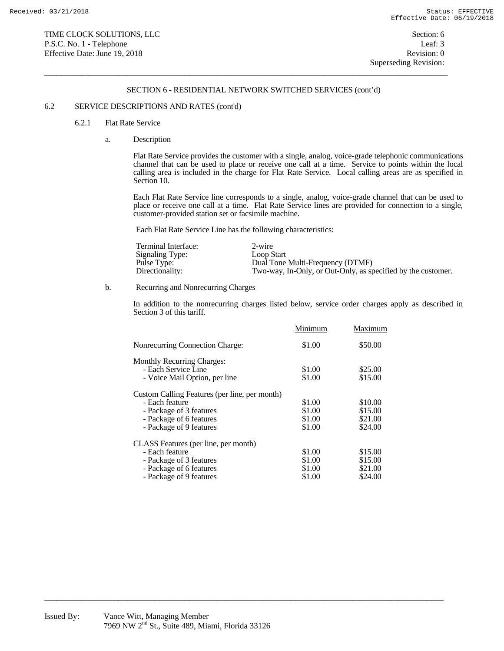$\overline{a}$  , and the state of the state of the state of the state of the state of the state of the state of the state of the state of the state of the state of the state of the state of the state of the state of the state o

## 6.2 SERVICE DESCRIPTIONS AND RATES (cont'd)

#### 6.2.1 Flat Rate Service

a. Description

 Flat Rate Service provides the customer with a single, analog, voice-grade telephonic communications channel that can be used to place or receive one call at a time. Service to points within the local calling area is included in the charge for Flat Rate Service. Local calling areas are as specified in Section 10.

 Each Flat Rate Service line corresponds to a single, analog, voice-grade channel that can be used to place or receive one call at a time. Flat Rate Service lines are provided for connection to a single, customer-provided station set or facsimile machine.

Each Flat Rate Service Line has the following characteristics:

| Terminal Interface: | 2-wire                                                       |
|---------------------|--------------------------------------------------------------|
| Signaling Type:     | Loop Start                                                   |
| Pulse Type:         | Dual Tone Multi-Frequency (DTMF)                             |
| Directionality:     | Two-way, In-Only, or Out-Only, as specified by the customer. |

b. Recurring and Nonrecurring Charges

 In addition to the nonrecurring charges listed below, service order charges apply as described in Section 3 of this tariff.

|                                               | Minimum | Maximum |
|-----------------------------------------------|---------|---------|
| Nonrecurring Connection Charge:               | \$1.00  | \$50.00 |
| <b>Monthly Recurring Charges:</b>             |         |         |
| - Each Service Line                           | \$1.00  | \$25.00 |
| - Voice Mail Option, per line                 | \$1.00  | \$15.00 |
| Custom Calling Features (per line, per month) |         |         |
| - Each feature                                | \$1.00  | \$10.00 |
| - Package of 3 features                       | \$1.00  | \$15.00 |
| - Package of 6 features                       | \$1.00  | \$21.00 |
| - Package of 9 features                       | \$1.00  | \$24.00 |
| CLASS Features (per line, per month)          |         |         |
| - Each feature                                | \$1.00  | \$15.00 |
| - Package of 3 features                       | \$1.00  | \$15.00 |
| - Package of 6 features                       | \$1.00  | \$21.00 |
| - Package of 9 features                       | \$1.00  | \$24.00 |
|                                               |         |         |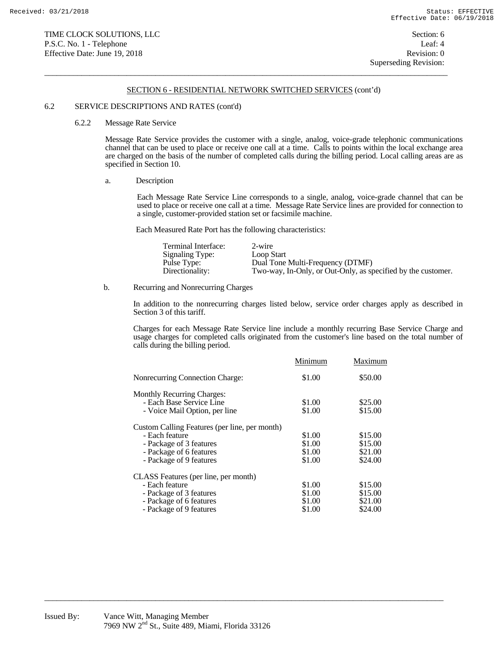$\overline{a}$  , and the state of the state of the state of the state of the state of the state of the state of the state of the state of the state of the state of the state of the state of the state of the state of the state o

#### 6.2 SERVICE DESCRIPTIONS AND RATES (cont'd)

#### 6.2.2 Message Rate Service

 Message Rate Service provides the customer with a single, analog, voice-grade telephonic communications channel that can be used to place or receive one call at a time. Calls to points within the local exchange area are charged on the basis of the number of completed calls during the billing period. Local calling areas are as specified in Section 10.

a. Description

 Each Message Rate Service Line corresponds to a single, analog, voice-grade channel that can be used to place or receive one call at a time. Message Rate Service lines are provided for connection to a single, customer-provided station set or facsimile machine.

Each Measured Rate Port has the following characteristics:

| Terminal Interface: | 2-wire                                                       |
|---------------------|--------------------------------------------------------------|
| Signaling Type:     | Loop Start                                                   |
| Pulse Type:         | Dual Tone Multi-Frequency (DTMF)                             |
| Directionality:     | Two-way, In-Only, or Out-Only, as specified by the customer. |

b. Recurring and Nonrecurring Charges

 In addition to the nonrecurring charges listed below, service order charges apply as described in Section 3 of this tariff.

 Charges for each Message Rate Service line include a monthly recurring Base Service Charge and usage charges for completed calls originated from the customer's line based on the total number of calls during the billing period.

|                                               | Minimum | Maximum |
|-----------------------------------------------|---------|---------|
| Nonrecurring Connection Charge:               | \$1.00  | \$50.00 |
| <b>Monthly Recurring Charges:</b>             |         |         |
| - Each Base Service Line                      | \$1.00  | \$25.00 |
| - Voice Mail Option, per line                 | \$1.00  | \$15.00 |
| Custom Calling Features (per line, per month) |         |         |
| - Each feature                                | \$1.00  | \$15.00 |
| - Package of 3 features                       | \$1.00  | \$15.00 |
| - Package of 6 features                       | \$1.00  | \$21.00 |
| - Package of 9 features                       | \$1.00  | \$24.00 |
| CLASS Features (per line, per month)          |         |         |
| - Each feature                                | \$1.00  | \$15.00 |
| - Package of 3 features                       | \$1.00  | \$15.00 |
| - Package of 6 features                       | \$1.00  | \$21.00 |
| - Package of 9 features                       | \$1.00  | \$24.00 |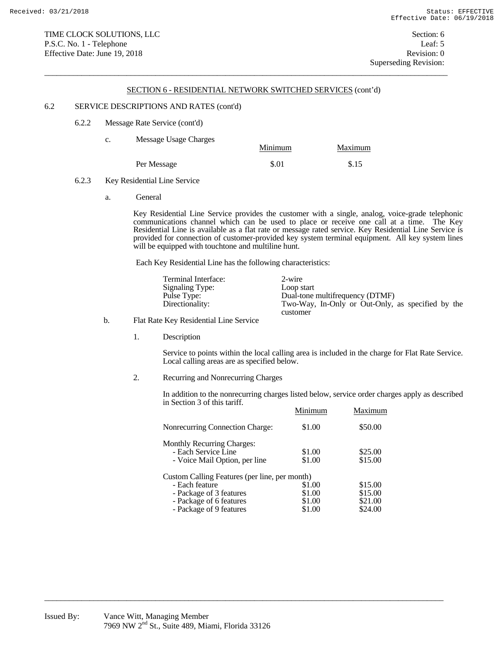$\overline{a}$  , and the state of the state of the state of the state of the state of the state of the state of the state of the state of the state of the state of the state of the state of the state of the state of the state o

#### 6.2 SERVICE DESCRIPTIONS AND RATES (cont'd)

6.2.2 Message Rate Service (cont'd)

| c. | Message Usage Charges | Maximum<br>Minimum |       |
|----|-----------------------|--------------------|-------|
|    | Per Message           | \$.01              | \$.15 |

- 6.2.3 Key Residential Line Service
	- a. General

 Key Residential Line Service provides the customer with a single, analog, voice-grade telephonic communications channel which can be used to place or receive one call at a time. The Key Residential Line is available as a flat rate or message rated service. Key Residential Line Service is provided for connection of customer-provided key system terminal equipment. All key system lines will be equipped with touchtone and multiline hunt.

Each Key Residential Line has the following characteristics:

| Terminal Interface: | 2-wire                                            |
|---------------------|---------------------------------------------------|
| Signaling Type:     | Loop start                                        |
| Pulse Type:         | Dual-tone multifrequency (DTMF)                   |
| Directionality:     | Two-Way, In-Only or Out-Only, as specified by the |
|                     | customer                                          |

## b. Flat Rate Key Residential Line Service

1. Description

 Service to points within the local calling area is included in the charge for Flat Rate Service. Local calling areas are as specified below.

2. Recurring and Nonrecurring Charges

 In addition to the nonrecurring charges listed below, service order charges apply as described in Section 3 of this tariff.

|                                               | Minimum | Maximum |
|-----------------------------------------------|---------|---------|
| Nonrecurring Connection Charge:               | \$1.00  | \$50.00 |
| <b>Monthly Recurring Charges:</b>             |         |         |
| - Each Service Line                           | \$1.00  | \$25.00 |
| - Voice Mail Option, per line                 | \$1.00  | \$15.00 |
| Custom Calling Features (per line, per month) |         |         |
| - Each feature                                | \$1.00  | \$15.00 |
| - Package of 3 features                       | \$1.00  | \$15.00 |
| - Package of 6 features                       | \$1.00  | \$21.00 |
| - Package of 9 features                       | \$1.00  | \$24.00 |
|                                               |         |         |